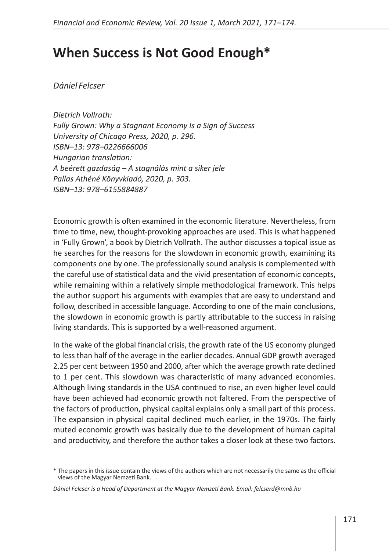## **When Success is Not Good Enough\***

*Dániel Felcser*

*Dietrich Vollrath: Fully Grown: Why a Stagnant Economy Is a Sign of Success University of Chicago Press, 2020, p. 296. ISBN–13: 978–0226666006 Hungarian translation: A beérett gazdaság – A stagnálás mint a siker jele Pallas Athéné Könyvkiadó, 2020, p. 303. ISBN–13: 978–6155884887*

Economic growth is often examined in the economic literature. Nevertheless, from time to time, new, thought-provoking approaches are used. This is what happened in 'Fully Grown', a book by Dietrich Vollrath. The author discusses a topical issue as he searches for the reasons for the slowdown in economic growth, examining its components one by one. The professionally sound analysis is complemented with the careful use of statistical data and the vivid presentation of economic concepts, while remaining within a relatively simple methodological framework. This helps the author support his arguments with examples that are easy to understand and follow, described in accessible language. According to one of the main conclusions, the slowdown in economic growth is partly attributable to the success in raising living standards. This is supported by a well-reasoned argument.

In the wake of the global financial crisis, the growth rate of the US economy plunged to less than half of the average in the earlier decades. Annual GDP growth averaged 2.25 per cent between 1950 and 2000, after which the average growth rate declined to 1 per cent. This slowdown was characteristic of many advanced economies. Although living standards in the USA continued to rise, an even higher level could have been achieved had economic growth not faltered. From the perspective of the factors of production, physical capital explains only a small part of this process. The expansion in physical capital declined much earlier, in the 1970s. The fairly muted economic growth was basically due to the development of human capital and productivity, and therefore the author takes a closer look at these two factors.

<sup>\*</sup> The papers in this issue contain the views of the authors which are not necessarily the same as the official views of the Magyar Nemzeti Bank.

*Dániel Felcser is a Head of Department at the Magyar Nemzeti Bank. Email: felcserd@mnb.hu*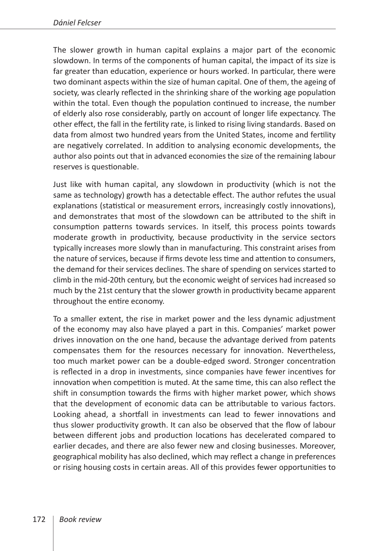The slower growth in human capital explains a major part of the economic slowdown. In terms of the components of human capital, the impact of its size is far greater than education, experience or hours worked. In particular, there were two dominant aspects within the size of human capital. One of them, the ageing of society, was clearly reflected in the shrinking share of the working age population within the total. Even though the population continued to increase, the number of elderly also rose considerably, partly on account of longer life expectancy. The other effect, the fall in the fertility rate, is linked to rising living standards. Based on data from almost two hundred years from the United States, income and fertility are negatively correlated. In addition to analysing economic developments, the author also points out that in advanced economies the size of the remaining labour reserves is questionable.

Just like with human capital, any slowdown in productivity (which is not the same as technology) growth has a detectable effect. The author refutes the usual explanations (statistical or measurement errors, increasingly costly innovations), and demonstrates that most of the slowdown can be attributed to the shift in consumption patterns towards services. In itself, this process points towards moderate growth in productivity, because productivity in the service sectors typically increases more slowly than in manufacturing. This constraint arises from the nature of services, because if firms devote less time and attention to consumers, the demand for their services declines. The share of spending on services started to climb in the mid-20th century, but the economic weight of services had increased so much by the 21st century that the slower growth in productivity became apparent throughout the entire economy.

To a smaller extent, the rise in market power and the less dynamic adjustment of the economy may also have played a part in this. Companies' market power drives innovation on the one hand, because the advantage derived from patents compensates them for the resources necessary for innovation. Nevertheless, too much market power can be a double-edged sword. Stronger concentration is reflected in a drop in investments, since companies have fewer incentives for innovation when competition is muted. At the same time, this can also reflect the shift in consumption towards the firms with higher market power, which shows that the development of economic data can be attributable to various factors. Looking ahead, a shortfall in investments can lead to fewer innovations and thus slower productivity growth. It can also be observed that the flow of labour between different jobs and production locations has decelerated compared to earlier decades, and there are also fewer new and closing businesses. Moreover, geographical mobility has also declined, which may reflect a change in preferences or rising housing costs in certain areas. All of this provides fewer opportunities to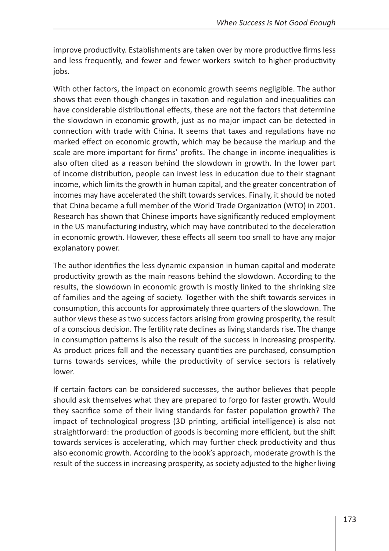improve productivity. Establishments are taken over by more productive firms less and less frequently, and fewer and fewer workers switch to higher-productivity jobs.

With other factors, the impact on economic growth seems negligible. The author shows that even though changes in taxation and regulation and inequalities can have considerable distributional effects, these are not the factors that determine the slowdown in economic growth, just as no major impact can be detected in connection with trade with China. It seems that taxes and regulations have no marked effect on economic growth, which may be because the markup and the scale are more important for firms' profits. The change in income inequalities is also often cited as a reason behind the slowdown in growth. In the lower part of income distribution, people can invest less in education due to their stagnant income, which limits the growth in human capital, and the greater concentration of incomes may have accelerated the shift towards services. Finally, it should be noted that China became a full member of the World Trade Organization (WTO) in 2001. Research has shown that Chinese imports have significantly reduced employment in the US manufacturing industry, which may have contributed to the deceleration in economic growth. However, these effects all seem too small to have any major explanatory power.

The author identifies the less dynamic expansion in human capital and moderate productivity growth as the main reasons behind the slowdown. According to the results, the slowdown in economic growth is mostly linked to the shrinking size of families and the ageing of society. Together with the shift towards services in consumption, this accounts for approximately three quarters of the slowdown. The author views these as two success factors arising from growing prosperity, the result of a conscious decision. The fertility rate declines as living standards rise. The change in consumption patterns is also the result of the success in increasing prosperity. As product prices fall and the necessary quantities are purchased, consumption turns towards services, while the productivity of service sectors is relatively lower.

If certain factors can be considered successes, the author believes that people should ask themselves what they are prepared to forgo for faster growth. Would they sacrifice some of their living standards for faster population growth? The impact of technological progress (3D printing, artificial intelligence) is also not straightforward: the production of goods is becoming more efficient, but the shift towards services is accelerating, which may further check productivity and thus also economic growth. According to the book's approach, moderate growth is the result of the success in increasing prosperity, as society adjusted to the higher living